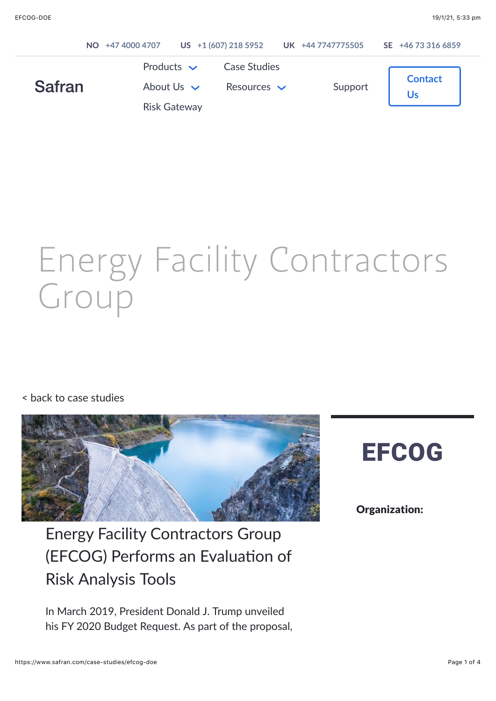|               | NO +47 4000 4707 |                                                           | US +1 (607) 218 5952 UK +44 7747775505  |         | SE +46 73 316 6859 |
|---------------|------------------|-----------------------------------------------------------|-----------------------------------------|---------|--------------------|
| <b>Safran</b> |                  | Products $\sim$<br>About Us $\vee$<br><b>Risk Gateway</b> | <b>Case Studies</b><br>Resources $\vee$ | Support | <b>Contact</b>     |

# Energy Facility Contractors Group

#### [< back to case studies](https://www.safran.com/case-studies)



Energy Facility Contractors Group (EFCOG) Performs an Evaluation of Risk Analysis Tools

In March 2019, President Donald J. Trump unveiled his FY 2020 Budget Request. As part of the proposal,

# **EFCOG**

#### Organization: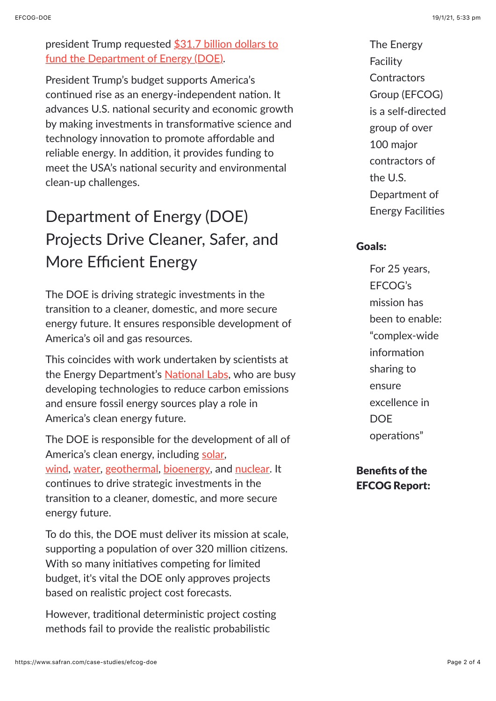[president Trump requested \\$31.7 billion dollars to](https://www.energy.gov/sites/prod/files/2019/03/f60/doe-fy2020-budget-press-release-and-fact-sheet_0.pdf) fund the Department of Energy (DOE).

President Trump's budget supports America's continued rise as an energy-independent nation. It advances U.S. national security and economic growth by making investments in transformative science and technology innovation to promote affordable and reliable energy. In addition, it provides funding to meet the USA's national security and environmental clean-up challenges.

# Department of Energy (DOE) Projects Drive Cleaner, Safer, and More Efficient Energy

The DOE is driving strategic investments in the transition to a cleaner, domestic, and more secure energy future. It ensures responsible development of America's oil and gas resources.

This coincides with work undertaken by scientists at the Energy Department's National Labs, who are busy developing technologies to reduce carbon emissions and ensure fossil energy sources play a role in America's clean energy future.

The DOE is responsible for the development of all of America's clean energy, including [solar](https://www.energy.gov/science-innovation/energy-sources/renewable-energy/solar), [wind](https://www.energy.gov/science-innovation/energy-sources/renewable-energy/wind), [water](https://www.energy.gov/science-innovation/energy-sources/renewable-energy/water), [geothermal](https://www.energy.gov/science-innovation/energy-sources/renewable-energy/geothermal), [bioenergy](https://www.energy.gov/science-innovation/energy-sources/renewable-energy/bioenergy), and [nuclear.](https://www.energy.gov/science-innovation/energy-sources/nuclear) It continues to drive strategic investments in the transition to a cleaner, domestic, and more secure energy future.

To do this, the DOE must deliver its mission at scale, supporting a population of over 320 million citizens. With so many initiatives competing for limited budget, it's vital the DOE only approves projects based on realistic project cost forecasts.

However, traditional deterministic project costing methods fail to provide the realistic probabilistic

The Energy Facility **Contractors** Group (EFCOG) is a self‐directed group of over 100 major contractors of the U.S. Department of **Energy Facilities** 

#### Goals:

For 25 years, EFCOG's mission has been to enable: "complex-wide information sharing to ensure excellence in **DOE** operations"

#### Benefits of the EFCOG Report: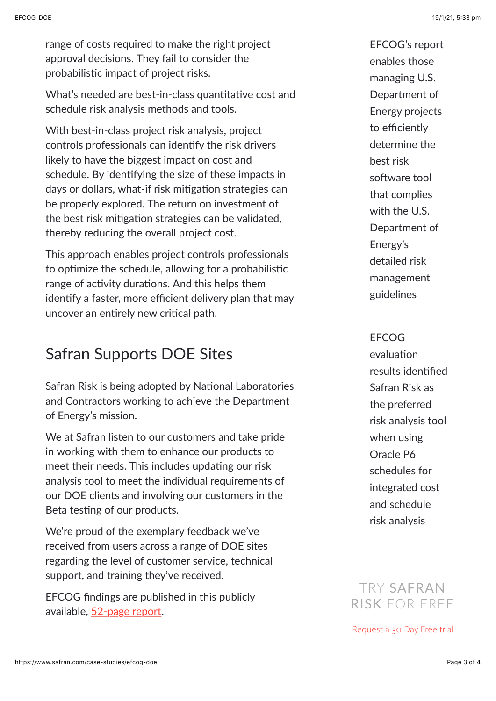range of costs required to make the right project approval decisions. They fail to consider the probabilistic impact of project risks.

What's needed are best-in-class quantitative cost and schedule risk analysis methods and tools.

With best-in-class project risk analysis, project controls professionals can identify the risk drivers likely to have the biggest impact on cost and schedule. By identifying the size of these impacts in days or dollars, what-if risk mitigation strategies can be properly explored. The return on investment of the best risk mitigation strategies can be validated, thereby reducing the overall project cost.

This approach enables project controls professionals to optimize the schedule, allowing for a probabilistic range of activity durations. And this helps them identify a faster, more efficient delivery plan that may uncover an entirely new critical path.

## Safran Supports DOE Sites

Safran Risk is being adopted by National Laboratories and Contractors working to achieve the Department of Energy's mission.

We at Safran listen to our customers and take pride in working with them to enhance our products to meet their needs. This includes updating our risk analysis tool to meet the individual requirements of our DOE clients and involving our customers in the Beta testing of our products.

We're proud of the exemplary feedback we've received from users across a range of DOE sites regarding the level of customer service, technical support, and training they've received.

EFCOG findings are published in this publicly available, [52-page report.](https://efcog.org/wp-content/uploads/Wgs/Project%20Delivery%20Working%20Group/_Project%20Management%20Subgroup/Risk%20Management%20Task%20Team/Documents/Evaluation%20of%20Risk%20Management%20Software%20-%20R0.pdf)

EFCOG's report enables those managing U.S. Department of Energy projects to efficiently determine the best risk software tool that complies with the U.S. Department of Energy's detailed risk management guidelines

#### EFCOG

evaluation results identified Safran Risk as the preferred risk analysis tool when using Oracle P6 schedules for integrated cost and schedule risk analysis

### TRY SAFRAN RISK FOR FREE

[Request a 30 Day Free trial](https://www.safran.com/risk-free-trial)